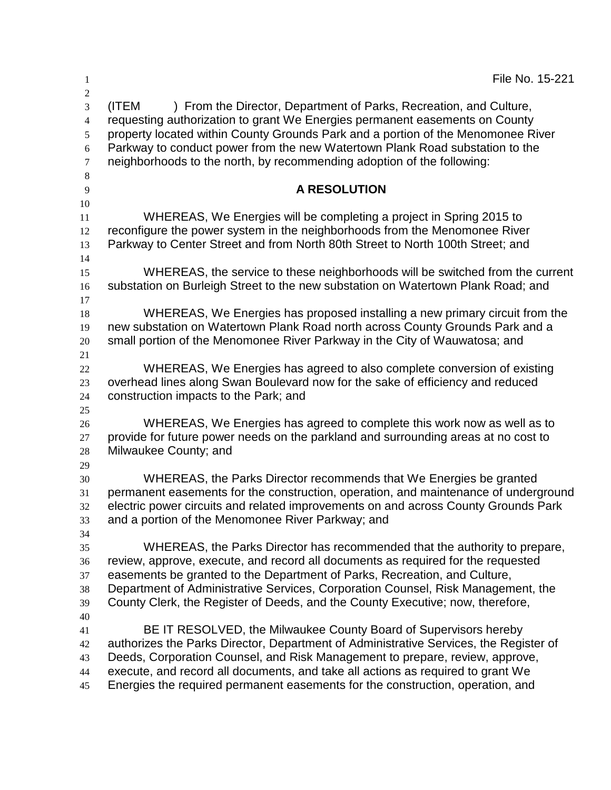| $\mathbf{1}$                                                     | File No. 15-221                                                                                                                                                                                                                                                                                                                                                                                                   |
|------------------------------------------------------------------|-------------------------------------------------------------------------------------------------------------------------------------------------------------------------------------------------------------------------------------------------------------------------------------------------------------------------------------------------------------------------------------------------------------------|
| $\boldsymbol{2}$<br>3<br>$\overline{4}$<br>5<br>6<br>$\tau$<br>8 | ) From the Director, Department of Parks, Recreation, and Culture,<br>(ITEM<br>requesting authorization to grant We Energies permanent easements on County<br>property located within County Grounds Park and a portion of the Menomonee River<br>Parkway to conduct power from the new Watertown Plank Road substation to the<br>neighborhoods to the north, by recommending adoption of the following:          |
| 9<br>10                                                          | <b>A RESOLUTION</b>                                                                                                                                                                                                                                                                                                                                                                                               |
| 11<br>12<br>13                                                   | WHEREAS, We Energies will be completing a project in Spring 2015 to<br>reconfigure the power system in the neighborhoods from the Menomonee River<br>Parkway to Center Street and from North 80th Street to North 100th Street; and                                                                                                                                                                               |
| 14<br>15<br>16                                                   | WHEREAS, the service to these neighborhoods will be switched from the current<br>substation on Burleigh Street to the new substation on Watertown Plank Road; and                                                                                                                                                                                                                                                 |
| 17<br>18<br>19<br>20<br>21                                       | WHEREAS, We Energies has proposed installing a new primary circuit from the<br>new substation on Watertown Plank Road north across County Grounds Park and a<br>small portion of the Menomonee River Parkway in the City of Wauwatosa; and                                                                                                                                                                        |
| 22<br>23<br>24                                                   | WHEREAS, We Energies has agreed to also complete conversion of existing<br>overhead lines along Swan Boulevard now for the sake of efficiency and reduced<br>construction impacts to the Park; and                                                                                                                                                                                                                |
| 25<br>26<br>27<br>28                                             | WHEREAS, We Energies has agreed to complete this work now as well as to<br>provide for future power needs on the parkland and surrounding areas at no cost to<br>Milwaukee County; and                                                                                                                                                                                                                            |
| 29<br>30<br>31<br>32<br>33<br>34                                 | WHEREAS, the Parks Director recommends that We Energies be granted<br>permanent easements for the construction, operation, and maintenance of underground<br>electric power circuits and related improvements on and across County Grounds Park<br>and a portion of the Menomonee River Parkway; and                                                                                                              |
| 35<br>36<br>37<br>38<br>39                                       | WHEREAS, the Parks Director has recommended that the authority to prepare,<br>review, approve, execute, and record all documents as required for the requested<br>easements be granted to the Department of Parks, Recreation, and Culture,<br>Department of Administrative Services, Corporation Counsel, Risk Management, the<br>County Clerk, the Register of Deeds, and the County Executive; now, therefore, |
| 40<br>41<br>42<br>43<br>44<br>45                                 | BE IT RESOLVED, the Milwaukee County Board of Supervisors hereby<br>authorizes the Parks Director, Department of Administrative Services, the Register of<br>Deeds, Corporation Counsel, and Risk Management to prepare, review, approve,<br>execute, and record all documents, and take all actions as required to grant We<br>Energies the required permanent easements for the construction, operation, and    |